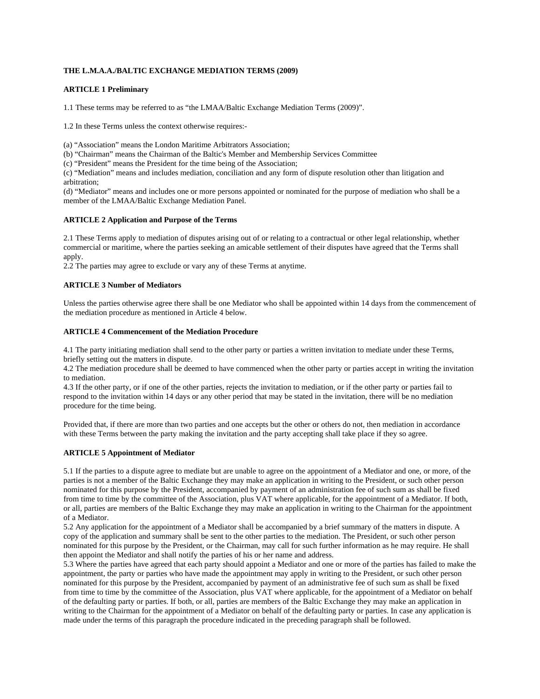# **THE L.M.A.A./BALTIC EXCHANGE MEDIATION TERMS (2009)**

# **ARTICLE 1 Preliminary**

1.1 These terms may be referred to as "the LMAA/Baltic Exchange Mediation Terms (2009)".

1.2 In these Terms unless the context otherwise requires:-

(a) "Association" means the London Maritime Arbitrators Association;

(b) "Chairman" means the Chairman of the Baltic's Member and Membership Services Committee

(c) "President" means the President for the time being of the Association;

(c) "Mediation" means and includes mediation, conciliation and any form of dispute resolution other than litigation and arbitration;

(d) "Mediator" means and includes one or more persons appointed or nominated for the purpose of mediation who shall be a member of the LMAA/Baltic Exchange Mediation Panel.

# **ARTICLE 2 Application and Purpose of the Terms**

2.1 These Terms apply to mediation of disputes arising out of or relating to a contractual or other legal relationship, whether commercial or maritime, where the parties seeking an amicable settlement of their disputes have agreed that the Terms shall apply.

2.2 The parties may agree to exclude or vary any of these Terms at anytime.

# **ARTICLE 3 Number of Mediators**

Unless the parties otherwise agree there shall be one Mediator who shall be appointed within 14 days from the commencement of the mediation procedure as mentioned in Article 4 below.

# **ARTICLE 4 Commencement of the Mediation Procedure**

4.1 The party initiating mediation shall send to the other party or parties a written invitation to mediate under these Terms, briefly setting out the matters in dispute.

4.2 The mediation procedure shall be deemed to have commenced when the other party or parties accept in writing the invitation to mediation.

4.3 If the other party, or if one of the other parties, rejects the invitation to mediation, or if the other party or parties fail to respond to the invitation within 14 days or any other period that may be stated in the invitation, there will be no mediation procedure for the time being.

Provided that, if there are more than two parties and one accepts but the other or others do not, then mediation in accordance with these Terms between the party making the invitation and the party accepting shall take place if they so agree.

# **ARTICLE 5 Appointment of Mediator**

5.1 If the parties to a dispute agree to mediate but are unable to agree on the appointment of a Mediator and one, or more, of the parties is not a member of the Baltic Exchange they may make an application in writing to the President, or such other person nominated for this purpose by the President, accompanied by payment of an administration fee of such sum as shall be fixed from time to time by the committee of the Association, plus VAT where applicable, for the appointment of a Mediator. If both, or all, parties are members of the Baltic Exchange they may make an application in writing to the Chairman for the appointment of a Mediator.

5.2 Any application for the appointment of a Mediator shall be accompanied by a brief summary of the matters in dispute. A copy of the application and summary shall be sent to the other parties to the mediation. The President, or such other person nominated for this purpose by the President, or the Chairman, may call for such further information as he may require. He shall then appoint the Mediator and shall notify the parties of his or her name and address.

5.3 Where the parties have agreed that each party should appoint a Mediator and one or more of the parties has failed to make the appointment, the party or parties who have made the appointment may apply in writing to the President, or such other person nominated for this purpose by the President, accompanied by payment of an administrative fee of such sum as shall be fixed from time to time by the committee of the Association, plus VAT where applicable, for the appointment of a Mediator on behalf of the defaulting party or parties. If both, or all, parties are members of the Baltic Exchange they may make an application in writing to the Chairman for the appointment of a Mediator on behalf of the defaulting party or parties. In case any application is made under the terms of this paragraph the procedure indicated in the preceding paragraph shall be followed.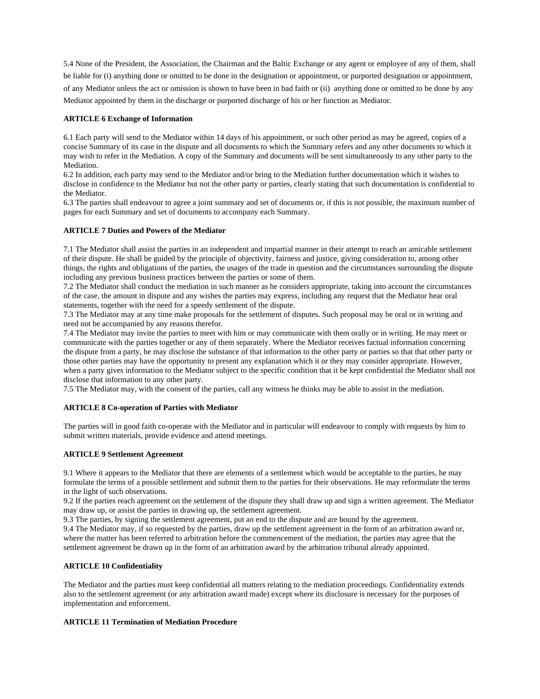5.4 None of the President, the Association, the Chairman and the Baltic Exchange or any agent or employee of any of them, shall be liable for (i) anything done or omitted to be done in the designation or appointment, or purported designation or appointment, of any Mediator unless the act or omission is shown to have been in bad faith or (ii) anything done or omitted to be done by any Mediator appointed by them in the discharge or purported discharge of his or her function as Mediator.

# **ARTICLE 6 Exchange of Information**

6.1 Each party will send to the Mediator within 14 days of his appointment, or such other period as may be agreed, copies of a concise Summary of its case in the dispute and all documents to which the Summary refers and any other documents to which it may wish to refer in the Mediation. A copy of the Summary and documents will be sent simultaneously to any other party to the Mediation.

6.2 In addition, each party may send to the Mediator and/or bring to the Mediation further documentation which it wishes to disclose in confidence to the Mediator but not the other party or parties, clearly stating that such documentation is confidential to the Mediator.

6.3 The parties shall endeavour to agree a joint summary and set of documents or, if this is not possible, the maximum number of pages for each Summary and set of documents to accompany each Summary.

# **ARTICLE 7 Duties and Powers of the Mediator**

7.1 The Mediator shall assist the parties in an independent and impartial manner in their attempt to reach an amicable settlement of their dispute. He shall be guided by the principle of objectivity, fairness and justice, giving consideration to, among other things, the rights and obligations of the parties, the usages of the trade in question and the circumstances surrounding the dispute including any previous business practices between the parties or some of them.

7.2 The Mediator shall conduct the mediation in such manner as he considers appropriate, taking into account the circumstances of the case, the amount in dispute and any wishes the parties may express, including any request that the Mediator hear oral statements, together with the need for a speedy settlement of the dispute.

7.3 The Mediator may at any time make proposals for the settlement of disputes. Such proposal may be oral or in writing and need not be accompanied by any reasons therefor.

7.4 The Mediator may invite the parties to meet with him or may communicate with them orally or in writing. He may meet or communicate with the parties together or any of them separately. Where the Mediator receives factual information concerning the dispute from a party, he may disclose the substance of that information to the other party or parties so that that other party or those other parties may have the opportunity to present any explanation which it or they may consider appropriate. However, when a party gives information to the Mediator subject to the specific condition that it be kept confidential the Mediator shall not disclose that information to any other party.

7.5 The Mediator may, with the consent of the parties, call any witness he thinks may be able to assist in the mediation.

# **ARTICLE 8 Co-operation of Parties with Mediator**

The parties will in good faith co-operate with the Mediator and in particular will endeavour to comply with requests by him to submit written materials, provide evidence and attend meetings.

# **ARTICLE 9 Settlement Agreement**

9.1 Where it appears to the Mediator that there are elements of a settlement which would be acceptable to the parties, he may formulate the terms of a possible settlement and submit them to the parties for their observations. He may reformulate the terms in the light of such observations.

9.2 If the parties reach agreement on the settlement of the dispute they shall draw up and sign a written agreement. The Mediator may draw up, or assist the parties in drawing up, the settlement agreement.

9.3 The parties, by signing the settlement agreement, put an end to the dispute and are bound by the agreement.

9.4 The Mediator may, if so requested by the parties, draw up the settlement agreement in the form of an arbitration award or, where the matter has been referred to arbitration before the commencement of the mediation, the parties may agree that the settlement agreement be drawn up in the form of an arbitration award by the arbitration tribunal already appointed.

# **ARTICLE 10 Confidentiality**

The Mediator and the parties must keep confidential all matters relating to the mediation proceedings. Confidentiality extends also to the settlement agreement (or any arbitration award made) except where its disclosure is necessary for the purposes of implementation and enforcement.

# **ARTICLE 11 Termination of Mediation Procedure**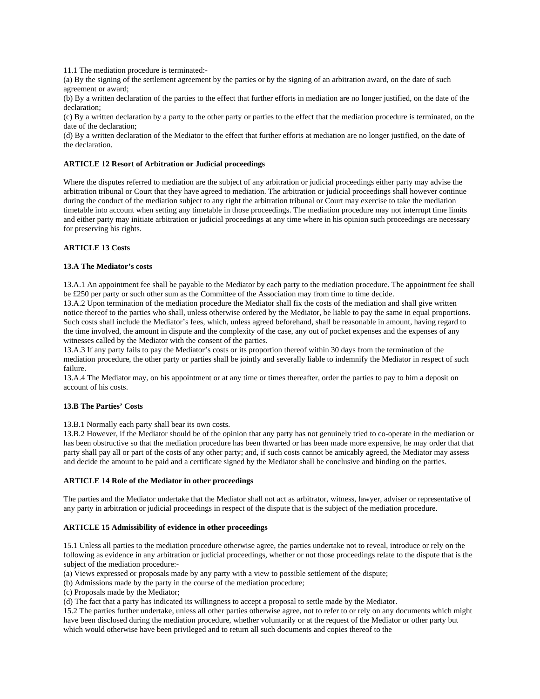11.1 The mediation procedure is terminated:-

(a) By the signing of the settlement agreement by the parties or by the signing of an arbitration award, on the date of such agreement or award;

(b) By a written declaration of the parties to the effect that further efforts in mediation are no longer justified, on the date of the declaration;

(c) By a written declaration by a party to the other party or parties to the effect that the mediation procedure is terminated, on the date of the declaration;

(d) By a written declaration of the Mediator to the effect that further efforts at mediation are no longer justified, on the date of the declaration.

# **ARTICLE 12 Resort of Arbitration or Judicial proceedings**

Where the disputes referred to mediation are the subject of any arbitration or judicial proceedings either party may advise the arbitration tribunal or Court that they have agreed to mediation. The arbitration or judicial proceedings shall however continue during the conduct of the mediation subject to any right the arbitration tribunal or Court may exercise to take the mediation timetable into account when setting any timetable in those proceedings. The mediation procedure may not interrupt time limits and either party may initiate arbitration or judicial proceedings at any time where in his opinion such proceedings are necessary for preserving his rights.

# **ARTICLE 13 Costs**

# **13.A The Mediator's costs**

13.A.1 An appointment fee shall be payable to the Mediator by each party to the mediation procedure. The appointment fee shall be £250 per party or such other sum as the Committee of the Association may from time to time decide.

13.A.2 Upon termination of the mediation procedure the Mediator shall fix the costs of the mediation and shall give written notice thereof to the parties who shall, unless otherwise ordered by the Mediator, be liable to pay the same in equal proportions. Such costs shall include the Mediator's fees, which, unless agreed beforehand, shall be reasonable in amount, having regard to the time involved, the amount in dispute and the complexity of the case, any out of pocket expenses and the expenses of any witnesses called by the Mediator with the consent of the parties.

13.A.3 If any party fails to pay the Mediator's costs or its proportion thereof within 30 days from the termination of the mediation procedure, the other party or parties shall be jointly and severally liable to indemnify the Mediator in respect of such failure.

13.A.4 The Mediator may, on his appointment or at any time or times thereafter, order the parties to pay to him a deposit on account of his costs.

#### **13.B The Parties' Costs**

13.B.1 Normally each party shall bear its own costs.

13.B.2 However, if the Mediator should be of the opinion that any party has not genuinely tried to co-operate in the mediation or has been obstructive so that the mediation procedure has been thwarted or has been made more expensive, he may order that that party shall pay all or part of the costs of any other party; and, if such costs cannot be amicably agreed, the Mediator may assess and decide the amount to be paid and a certificate signed by the Mediator shall be conclusive and binding on the parties.

#### **ARTICLE 14 Role of the Mediator in other proceedings**

The parties and the Mediator undertake that the Mediator shall not act as arbitrator, witness, lawyer, adviser or representative of any party in arbitration or judicial proceedings in respect of the dispute that is the subject of the mediation procedure.

#### **ARTICLE 15 Admissibility of evidence in other proceedings**

15.1 Unless all parties to the mediation procedure otherwise agree, the parties undertake not to reveal, introduce or rely on the following as evidence in any arbitration or judicial proceedings, whether or not those proceedings relate to the dispute that is the subject of the mediation procedure:-

(a) Views expressed or proposals made by any party with a view to possible settlement of the dispute;

(b) Admissions made by the party in the course of the mediation procedure;

(c) Proposals made by the Mediator;

(d) The fact that a party has indicated its willingness to accept a proposal to settle made by the Mediator.

15.2 The parties further undertake, unless all other parties otherwise agree, not to refer to or rely on any documents which might have been disclosed during the mediation procedure, whether voluntarily or at the request of the Mediator or other party but which would otherwise have been privileged and to return all such documents and copies thereof to the